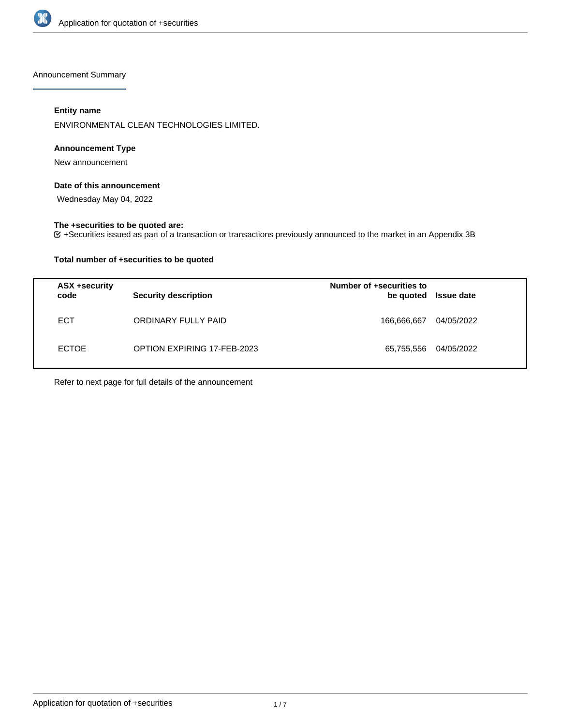

Announcement Summary

# **Entity name**

ENVIRONMENTAL CLEAN TECHNOLOGIES LIMITED.

# **Announcement Type**

New announcement

# **Date of this announcement**

Wednesday May 04, 2022

# **The +securities to be quoted are:**

+Securities issued as part of a transaction or transactions previously announced to the market in an Appendix 3B

# **Total number of +securities to be quoted**

| ASX +security<br>code | <b>Security description</b> | Number of +securities to<br>be quoted | <b>Issue date</b> |
|-----------------------|-----------------------------|---------------------------------------|-------------------|
| <b>ECT</b>            | ORDINARY FULLY PAID         | 166,666,667                           | 04/05/2022        |
| <b>ECTOE</b>          | OPTION EXPIRING 17-FEB-2023 | 65,755,556                            | 04/05/2022        |

Refer to next page for full details of the announcement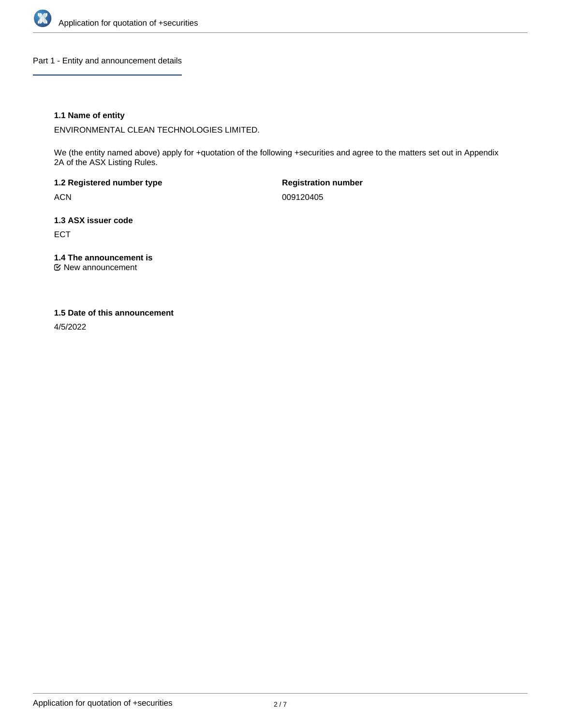

Part 1 - Entity and announcement details

# **1.1 Name of entity**

ENVIRONMENTAL CLEAN TECHNOLOGIES LIMITED.

We (the entity named above) apply for +quotation of the following +securities and agree to the matters set out in Appendix 2A of the ASX Listing Rules.

**1.2 Registered number type** ACN

**Registration number** 009120405

**1.3 ASX issuer code** ECT

**1.4 The announcement is**

New announcement

#### **1.5 Date of this announcement**

4/5/2022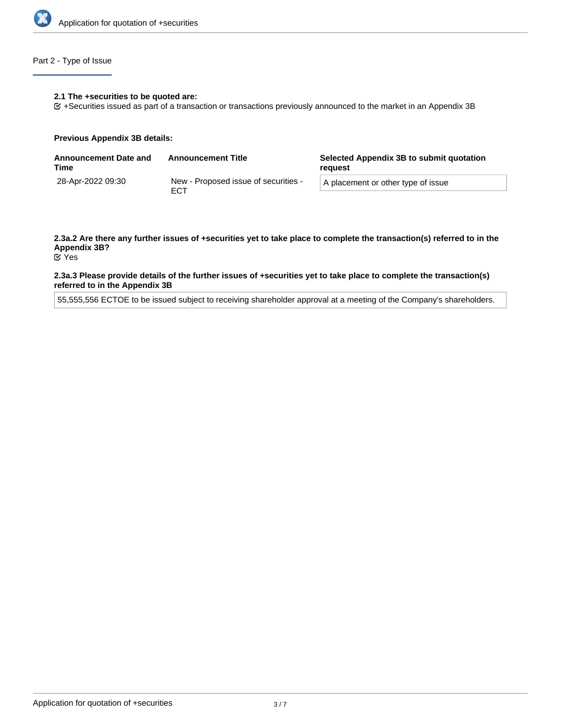

# Part 2 - Type of Issue

#### **2.1 The +securities to be quoted are:**

+Securities issued as part of a transaction or transactions previously announced to the market in an Appendix 3B

#### **Previous Appendix 3B details:**

| <b>Announcement Date and</b><br>Time | <b>Announcement Title</b>                          | Selected Appendix 3B to submit quotation<br>reguest |
|--------------------------------------|----------------------------------------------------|-----------------------------------------------------|
| 28-Apr-2022 09:30                    | New - Proposed issue of securities -<br><b>ECT</b> | A placement or other type of issue                  |

# **2.3a.2 Are there any further issues of +securities yet to take place to complete the transaction(s) referred to in the Appendix 3B?**

Yes

#### **2.3a.3 Please provide details of the further issues of +securities yet to take place to complete the transaction(s) referred to in the Appendix 3B**

55,555,556 ECTOE to be issued subject to receiving shareholder approval at a meeting of the Company's shareholders.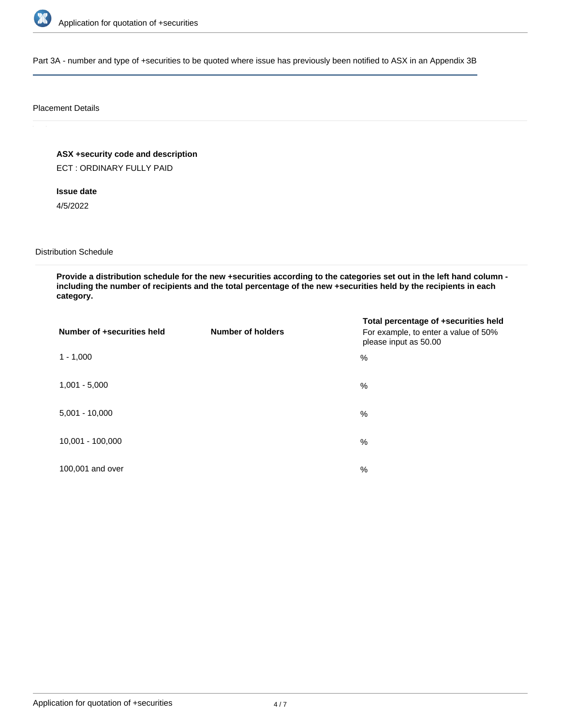

Part 3A - number and type of +securities to be quoted where issue has previously been notified to ASX in an Appendix 3B

#### Placement Details

**ASX +security code and description**

ECT : ORDINARY FULLY PAID

**Issue date**

4/5/2022

Distribution Schedule

**Provide a distribution schedule for the new +securities according to the categories set out in the left hand column including the number of recipients and the total percentage of the new +securities held by the recipients in each category.**

| Number of +securities held | <b>Number of holders</b> | Total percentage of +securities held<br>For example, to enter a value of 50%<br>please input as 50.00 |
|----------------------------|--------------------------|-------------------------------------------------------------------------------------------------------|
| $1 - 1,000$                |                          | %                                                                                                     |
| $1,001 - 5,000$            |                          | $\%$                                                                                                  |
| $5,001 - 10,000$           |                          | %                                                                                                     |
| 10,001 - 100,000           |                          | $\%$                                                                                                  |
| 100,001 and over           |                          | $\%$                                                                                                  |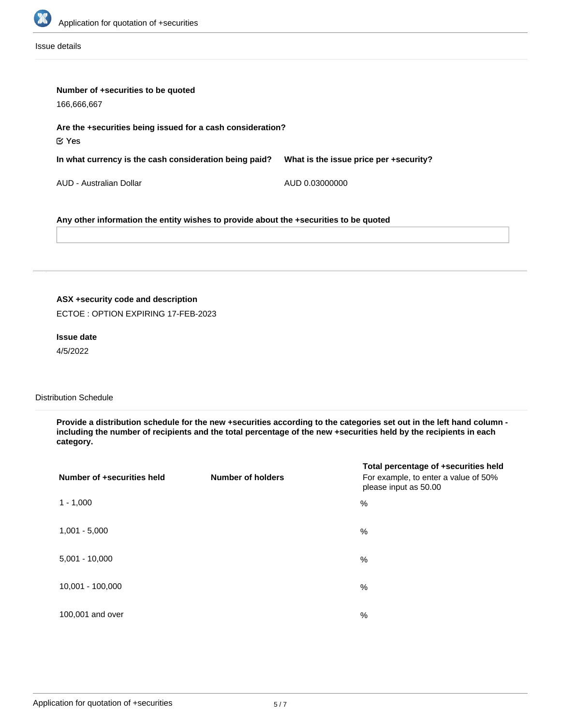

Issue details

| Number of +securities to be quoted<br>166,666,667                                     |                                        |  |
|---------------------------------------------------------------------------------------|----------------------------------------|--|
| Are the +securities being issued for a cash consideration?<br>$\propto$ Yes           |                                        |  |
| In what currency is the cash consideration being paid?                                | What is the issue price per +security? |  |
| AUD - Australian Dollar                                                               | AUD 0.03000000                         |  |
| Any other information the entity wishes to provide about the +securities to be quoted |                                        |  |

# **ASX +security code and description**

ECTOE : OPTION EXPIRING 17-FEB-2023

# **Issue date**

4/5/2022

# Distribution Schedule

**Provide a distribution schedule for the new +securities according to the categories set out in the left hand column including the number of recipients and the total percentage of the new +securities held by the recipients in each category.**

| Number of +securities held | <b>Number of holders</b> | Total percentage of +securities held<br>For example, to enter a value of 50%<br>please input as 50.00 |
|----------------------------|--------------------------|-------------------------------------------------------------------------------------------------------|
| $1 - 1,000$                |                          | %                                                                                                     |
| $1,001 - 5,000$            |                          | %                                                                                                     |
| $5,001 - 10,000$           |                          | %                                                                                                     |
| 10,001 - 100,000           |                          | %                                                                                                     |
| 100,001 and over           |                          | %                                                                                                     |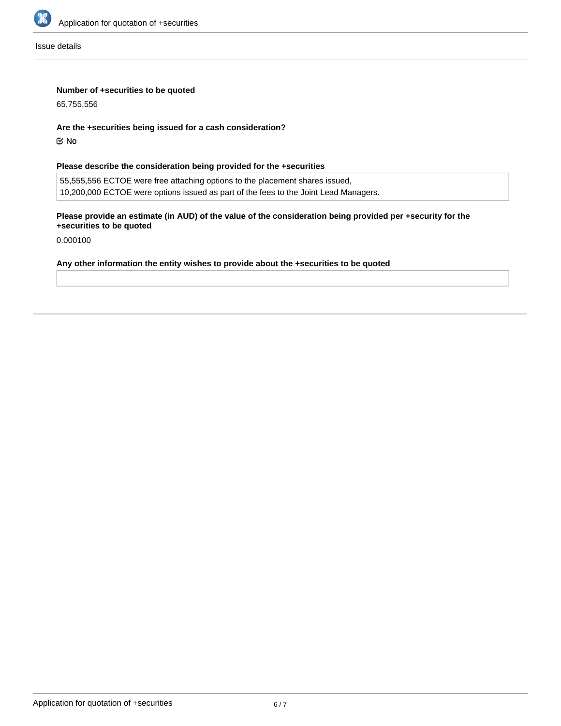

Issue details

# **Number of +securities to be quoted**

65,755,556

#### **Are the +securities being issued for a cash consideration?**

No

# **Please describe the consideration being provided for the +securities**

55,555,556 ECTOE were free attaching options to the placement shares issued, 10,200,000 ECTOE were options issued as part of the fees to the Joint Lead Managers.

# **Please provide an estimate (in AUD) of the value of the consideration being provided per +security for the +securities to be quoted**

0.000100

#### **Any other information the entity wishes to provide about the +securities to be quoted**